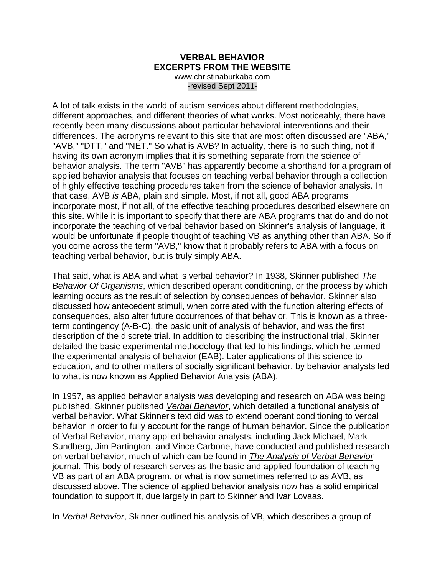#### **VERBAL BEHAVIOR EXCERPTS FROM THE WEBSITE** [www.christinaburkaba.com](http://www.christinaburkaba.com/) -revised Sept 2011-

A lot of talk exists in the world of autism services about different methodologies, different approaches, and different theories of what works. Most noticeably, there have recently been many discussions about particular behavioral interventions and their differences. The acronyms relevant to this site that are most often discussed are "ABA," "AVB," "DTT," and "NET." So what is AVB? In actuality, there is no such thing, not if having its own acronym implies that it is something separate from the science of behavior analysis. The term "AVB" has apparently become a shorthand for a program of applied behavior analysis that focuses on teaching verbal behavior through a collection of highly effective teaching procedures taken from the science of behavior analysis. In that case, AVB *is* ABA, plain and simple. Most, if not all, good ABA programs incorporate most, if not all, of the [effective teaching procedures](http://www.christinaburkaba.com/Procedures.htm) described elsewhere on this site. While it is important to specify that there are ABA programs that do and do not incorporate the teaching of verbal behavior based on Skinner's analysis of language, it would be unfortunate if people thought of teaching VB as anything other than ABA. So if you come across the term "AVB," know that it probably refers to ABA with a focus on teaching verbal behavior, but is truly simply ABA.

That said, what is ABA and what is verbal behavior? In 1938, Skinner published *The Behavior Of Organisms*, which described operant conditioning, or the process by which learning occurs as the result of selection by consequences of behavior. Skinner also discussed how antecedent stimuli, when correlated with the function altering effects of consequences, also alter future occurrences of that behavior. This is known as a threeterm contingency (A-B-C), the basic unit of analysis of behavior, and was the first description of the discrete trial. In addition to describing the instructional trial, Skinner detailed the basic experimental methodology that led to his findings, which he termed the experimental analysis of behavior (EAB). Later applications of this science to education, and to other matters of socially significant behavior, by behavior analysts led to what is now known as Applied Behavior Analysis (ABA).

In 1957, as applied behavior analysis was developing and research on ABA was being published, Skinner published *[Verbal Behavior](http://www.difflearn.com/)*, which detailed a functional analysis of verbal behavior. What Skinner's text did was to extend operant conditioning to verbal behavior in order to fully account for the range of human behavior. Since the publication of Verbal Behavior, many applied behavior analysts, including Jack Michael, Mark Sundberg, Jim Partington, and Vince Carbone, have conducted and published research on verbal behavior, much of which can be found in *[The Analysis of Verbal Behavior](http://www.christinaburkaba.com/GettingStarted.htm)* journal. This body of research serves as the basic and applied foundation of teaching VB as part of an ABA program, or what is now sometimes referred to as AVB, as discussed above. The science of applied behavior analysis now has a solid empirical foundation to support it, due largely in part to Skinner and Ivar Lovaas.

In *Verbal Behavior*, Skinner outlined his analysis of VB, which describes a group of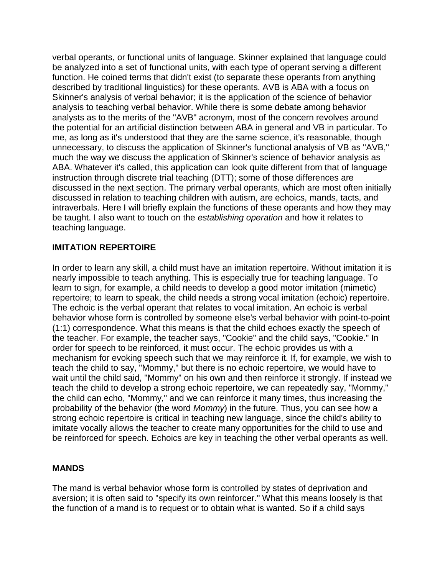verbal operants, or functional units of language. Skinner explained that language could be analyzed into a set of functional units, with each type of operant serving a different function. He coined terms that didn't exist (to separate these operants from anything described by traditional linguistics) for these operants. AVB is ABA with a focus on Skinner's analysis of verbal behavior; it is the application of the science of behavior analysis to teaching verbal behavior. While there is some debate among behavior analysts as to the merits of the "AVB" acronym, most of the concern revolves around the potential for an artificial distinction between ABA in general and VB in particular. To me, as long as it's understood that they are the same science, it's reasonable, though unnecessary, to discuss the application of Skinner's functional analysis of VB as "AVB," much the way we discuss the application of Skinner's science of behavior analysis as ABA. Whatever it's called, this application can look quite different from that of language instruction through discrete trial teaching (DTT); some of those differences are discussed in the [next section.](http://www.christinaburkaba.com/Approaches.htm) The primary verbal operants, which are most often initially discussed in relation to teaching children with autism, are echoics, mands, tacts, and intraverbals. Here I will briefly explain the functions of these operants and how they may be taught. I also want to touch on the *establishing operation* and how it relates to teaching language.

## **IMITATION REPERTOIRE**

In order to learn any skill, a child must have an imitation repertoire. Without imitation it is nearly impossible to teach anything. This is especially true for teaching language. To learn to sign, for example, a child needs to develop a good motor imitation (mimetic) repertoire; to learn to speak, the child needs a strong vocal imitation (echoic) repertoire. The echoic is the verbal operant that relates to vocal imitation. An echoic is verbal behavior whose form is controlled by someone else's verbal behavior with point-to-point (1:1) correspondence. What this means is that the child echoes exactly the speech of the teacher. For example, the teacher says, "Cookie" and the child says, "Cookie." In order for speech to be reinforced, it must occur. The echoic provides us with a mechanism for evoking speech such that we may reinforce it. If, for example, we wish to teach the child to say, "Mommy," but there is no echoic repertoire, we would have to wait until the child said, "Mommy" on his own and then reinforce it strongly. If instead we teach the child to develop a strong echoic repertoire, we can repeatedly say, "Mommy," the child can echo, "Mommy," and we can reinforce it many times, thus increasing the probability of the behavior (the word *Mommy*) in the future. Thus, you can see how a strong echoic repertoire is critical in teaching new language, since the child's ability to imitate vocally allows the teacher to create many opportunities for the child to use and be reinforced for speech. Echoics are key in teaching the other verbal operants as well.

### **MANDS**

The mand is verbal behavior whose form is controlled by states of deprivation and aversion; it is often said to "specify its own reinforcer." What this means loosely is that the function of a mand is to request or to obtain what is wanted. So if a child says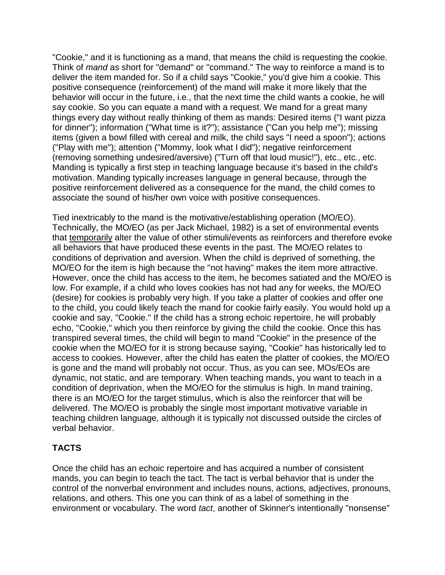"Cookie," and it is functioning as a mand, that means the child is requesting the cookie. Think of *mand* as short for "demand" or "command." The way to reinforce a mand is to deliver the item manded for. So if a child says "Cookie," you'd give him a cookie. This positive consequence (reinforcement) of the mand will make it more likely that the behavior will occur in the future, i.e., that the next time the child wants a cookie, he will say cookie. So you can equate a mand with a request. We mand for a great many things every day without really thinking of them as mands: Desired items ("I want pizza for dinner"); information ("What time is it?"); assistance ("Can you help me"); missing items (given a bowl filled with cereal and milk, the child says "I need a spoon"); actions ("Play with me"); attention ("Mommy, look what I did"); negative reinforcement (removing something undesired/aversive) ("Turn off that loud music!"), etc., etc., etc. Manding is typically a first step in teaching language because it's based in the child's motivation. Manding typically increases language in general because, through the positive reinforcement delivered as a consequence for the mand, the child comes to associate the sound of his/her own voice with positive consequences.

Tied inextricably to the mand is the motivative/establishing operation (MO/EO). Technically, the MO/EO (as per Jack Michael, 1982) is a set of environmental events that temporarily alter the value of other stimuli/events as reinforcers and therefore evoke all behaviors that have produced these events in the past. The MO/EO relates to conditions of deprivation and aversion. When the child is deprived of something, the MO/EO for the item is high because the "not having" makes the item more attractive. However, once the child has access to the item, he becomes satiated and the MO/EO is low. For example, if a child who loves cookies has not had any for weeks, the MO/EO (desire) for cookies is probably very high. If you take a platter of cookies and offer one to the child, you could likely teach the mand for cookie fairly easily. You would hold up a cookie and say, "Cookie." If the child has a strong echoic repertoire, he will probably echo, "Cookie," which you then reinforce by giving the child the cookie. Once this has transpired several times, the child will begin to mand "Cookie" in the presence of the cookie when the MO/EO for it is strong because saying, "Cookie" has historically led to access to cookies. However, after the child has eaten the platter of cookies, the MO/EO is gone and the mand will probably not occur. Thus, as you can see, MOs/EOs are dynamic, not static, and are temporary. When teaching mands, you want to teach in a condition of deprivation, when the MO/EO for the stimulus is high. In mand training, there is an MO/EO for the target stimulus, which is also the reinforcer that will be delivered. The MO/EO is probably the single most important motivative variable in teaching children language, although it is typically not discussed outside the circles of verbal behavior.

# **TACTS**

Once the child has an echoic repertoire and has acquired a number of consistent mands, you can begin to teach the tact. The tact is verbal behavior that is under the control of the nonverbal environment and includes nouns, actions, adjectives, pronouns, relations, and others. This one you can think of as a label of something in the environment or vocabulary. The word *tact*, another of Skinner's intentionally "nonsense"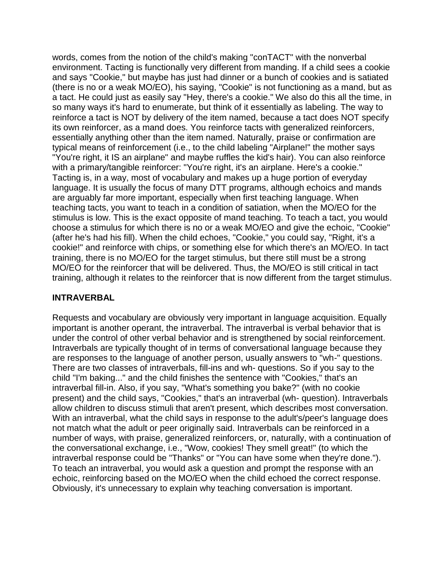words, comes from the notion of the child's making "conTACT" with the nonverbal environment. Tacting is functionally very different from manding. If a child sees a cookie and says "Cookie," but maybe has just had dinner or a bunch of cookies and is satiated (there is no or a weak MO/EO), his saying, "Cookie" is not functioning as a mand, but as a tact. He could just as easily say "Hey, there's a cookie." We also do this all the time, in so many ways it's hard to enumerate, but think of it essentially as labeling. The way to reinforce a tact is NOT by delivery of the item named, because a tact does NOT specify its own reinforcer, as a mand does. You reinforce tacts with generalized reinforcers, essentially anything other than the item named. Naturally, praise or confirmation are typical means of reinforcement (i.e., to the child labeling "Airplane!" the mother says "You're right, it IS an airplane" and maybe ruffles the kid's hair). You can also reinforce with a primary/tangible reinforcer: "You're right, it's an airplane. Here's a cookie." Tacting is, in a way, most of vocabulary and makes up a huge portion of everyday language. It is usually the focus of many DTT programs, although echoics and mands are arguably far more important, especially when first teaching language. When teaching tacts, you want to teach in a condition of satiation, when the MO/EO for the stimulus is low. This is the exact opposite of mand teaching. To teach a tact, you would choose a stimulus for which there is no or a weak MO/EO and give the echoic, "Cookie" (after he's had his fill). When the child echoes, "Cookie," you could say, "Right, it's a cookie!" and reinforce with chips, or something else for which there's an MO/EO. In tact training, there is no MO/EO for the target stimulus, but there still must be a strong MO/EO for the reinforcer that will be delivered. Thus, the MO/EO is still critical in tact training, although it relates to the reinforcer that is now different from the target stimulus.

### **INTRAVERBAL**

Requests and vocabulary are obviously very important in language acquisition. Equally important is another operant, the intraverbal. The intraverbal is verbal behavior that is under the control of other verbal behavior and is strengthened by social reinforcement. Intraverbals are typically thought of in terms of conversational language because they are responses to the language of another person, usually answers to "wh-" questions. There are two classes of intraverbals, fill-ins and wh- questions. So if you say to the child "I'm baking..." and the child finishes the sentence with "Cookies," that's an intraverbal fill-in. Also, if you say, "What's something you bake?" (with no cookie present) and the child says, "Cookies," that's an intraverbal (wh- question). Intraverbals allow children to discuss stimuli that aren't present, which describes most conversation. With an intraverbal, what the child says in response to the adult's/peer's language does not match what the adult or peer originally said. Intraverbals can be reinforced in a number of ways, with praise, generalized reinforcers, or, naturally, with a continuation of the conversational exchange, i.e., "Wow, cookies! They smell great!" (to which the intraverbal response could be "Thanks" or "You can have some when they're done."). To teach an intraverbal, you would ask a question and prompt the response with an echoic, reinforcing based on the MO/EO when the child echoed the correct response. Obviously, it's unnecessary to explain why teaching conversation is important.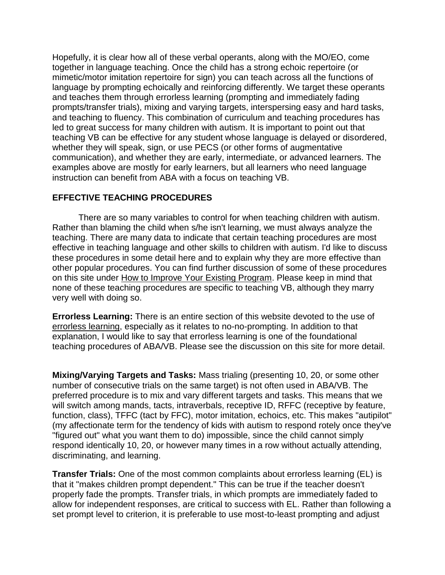Hopefully, it is clear how all of these verbal operants, along with the MO/EO, come together in language teaching. Once the child has a strong echoic repertoire (or mimetic/motor imitation repertoire for sign) you can teach across all the functions of language by prompting echoically and reinforcing differently. We target these operants and teaches them through errorless learning (prompting and immediately fading prompts/transfer trials), mixing and varying targets, interspersing easy and hard tasks, and teaching to fluency. This combination of curriculum and teaching procedures has led to great success for many children with autism. It is important to point out that teaching VB can be effective for any student whose language is delayed or disordered, whether they will speak, sign, or use PECS (or other forms of augmentative communication), and whether they are early, intermediate, or advanced learners. The examples above are mostly for early learners, but all learners who need language instruction can benefit from ABA with a focus on teaching VB.

### **EFFECTIVE TEACHING PROCEDURES**

There are so many variables to control for when teaching children with autism. Rather than blaming the child when s/he isn't learning, we must always analyze the teaching. There are many data to indicate that certain teaching procedures are most effective in teaching language and other skills to children with autism. I'd like to discuss these procedures in some detail here and to explain why they are more effective than other popular procedures. You can find further discussion of some of these procedures on this site under [How to Improve Your Existing Program.](http://www.christinaburkaba.com/Troubleshooting.htm) Please keep in mind that none of these teaching procedures are specific to teaching VB, although they marry very well with doing so.

**Errorless Learning:** There is an entire section of this website devoted to the use of [errorless learning,](http://www.christinaburkaba.com/ELvsNNP.htm) especially as it relates to no-no-prompting. In addition to that explanation, I would like to say that errorless learning is one of the foundational teaching procedures of ABA/VB. Please see the discussion on this site for more detail.

**Mixing/Varying Targets and Tasks:** Mass trialing (presenting 10, 20, or some other number of consecutive trials on the same target) is not often used in ABA/VB. The preferred procedure is to mix and vary different targets and tasks. This means that we will switch among mands, tacts, intraverbals, receptive ID, RFFC (receptive by feature, function, class), TFFC (tact by FFC), motor imitation, echoics, etc. This makes "autipilot" (my affectionate term for the tendency of kids with autism to respond rotely once they've "figured out" what you want them to do) impossible, since the child cannot simply respond identically 10, 20, or however many times in a row without actually attending, discriminating, and learning.

**Transfer Trials:** One of the most common complaints about errorless learning (EL) is that it "makes children prompt dependent." This can be true if the teacher doesn't properly fade the prompts. Transfer trials, in which prompts are immediately faded to allow for independent responses, are critical to success with EL. Rather than following a set prompt level to criterion, it is preferable to use most-to-least prompting and adjust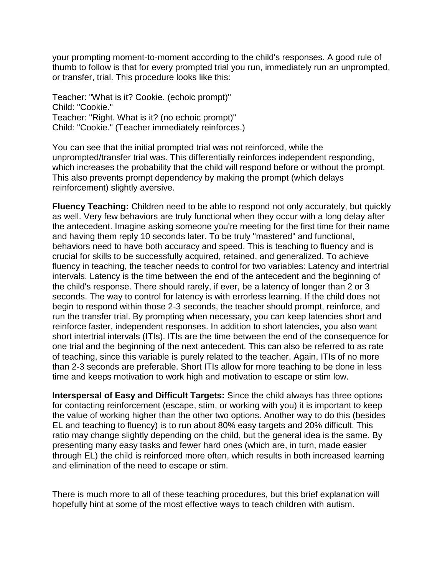your prompting moment-to-moment according to the child's responses. A good rule of thumb to follow is that for every prompted trial you run, immediately run an unprompted, or transfer, trial. This procedure looks like this:

Teacher: "What is it? Cookie. (echoic prompt)" Child: "Cookie." Teacher: "Right. What is it? (no echoic prompt)" Child: "Cookie." (Teacher immediately reinforces.)

You can see that the initial prompted trial was not reinforced, while the unprompted/transfer trial was. This differentially reinforces independent responding, which increases the probability that the child will respond before or without the prompt. This also prevents prompt dependency by making the prompt (which delays reinforcement) slightly aversive.

**Fluency Teaching:** Children need to be able to respond not only accurately, but quickly as well. Very few behaviors are truly functional when they occur with a long delay after the antecedent. Imagine asking someone you're meeting for the first time for their name and having them reply 10 seconds later. To be truly "mastered" and functional, behaviors need to have both accuracy and speed. This is teaching to fluency and is crucial for skills to be successfully acquired, retained, and generalized. To achieve fluency in teaching, the teacher needs to control for two variables: Latency and intertrial intervals. Latency is the time between the end of the antecedent and the beginning of the child's response. There should rarely, if ever, be a latency of longer than 2 or 3 seconds. The way to control for latency is with errorless learning. If the child does not begin to respond within those 2-3 seconds, the teacher should prompt, reinforce, and run the transfer trial. By prompting when necessary, you can keep latencies short and reinforce faster, independent responses. In addition to short latencies, you also want short intertrial intervals (ITIs). ITIs are the time between the end of the consequence for one trial and the beginning of the next antecedent. This can also be referred to as rate of teaching, since this variable is purely related to the teacher. Again, ITIs of no more than 2-3 seconds are preferable. Short ITIs allow for more teaching to be done in less time and keeps motivation to work high and motivation to escape or stim low.

**Interspersal of Easy and Difficult Targets:** Since the child always has three options for contacting reinforcement (escape, stim, or working with you) it is important to keep the value of working higher than the other two options. Another way to do this (besides EL and teaching to fluency) is to run about 80% easy targets and 20% difficult. This ratio may change slightly depending on the child, but the general idea is the same. By presenting many easy tasks and fewer hard ones (which are, in turn, made easier through EL) the child is reinforced more often, which results in both increased learning and elimination of the need to escape or stim.

There is much more to all of these teaching procedures, but this brief explanation will hopefully hint at some of the most effective ways to teach children with autism.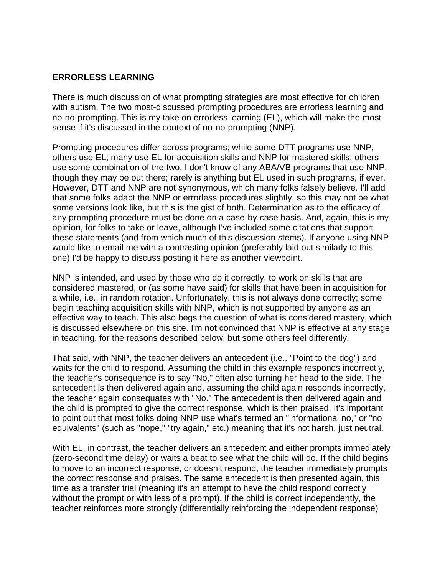## **ERRORLESS LEARNING**

There is much discussion of what prompting strategies are most effective for children with autism. The two most-discussed prompting procedures are errorless learning and no-no-prompting. This is my take on errorless learning (EL), which will make the most sense if it's discussed in the context of no-no-prompting (NNP).

Prompting procedures differ across programs; while some DTT programs use NNP, others use EL; many use EL for acquisition skills and NNP for mastered skills; others use some combination of the two. I don't know of any ABA/VB programs that use NNP, though they may be out there; rarely is anything but EL used in such programs, if ever. However, DTT and NNP are not synonymous, which many folks falsely believe. I'll add that some folks adapt the NNP or errorless procedures slightly, so this may not be what some versions look like, but this is the gist of both. Determination as to the efficacy of any prompting procedure must be done on a case-by-case basis. And, again, this is my opinion, for folks to take or leave, although I've included some citations that support these statements (and from which much of this discussion stems). If anyone using NNP would like to email me with a contrasting opinion (preferably laid out similarly to this one) I'd be happy to discuss posting it here as another viewpoint.

NNP is intended, and used by those who do it correctly, to work on skills that are considered mastered, or (as some have said) for skills that have been in acquisition for a while, i.e., in random rotation. Unfortunately, this is not always done correctly; some begin teaching acquisition skills with NNP, which is not supported by anyone as an effective way to teach. This also begs the question of what is considered mastery, which is discussed elsewhere on this site. I'm not convinced that NNP is effective at any stage in teaching, for the reasons described below, but some others feel differently.

That said, with NNP, the teacher delivers an antecedent (i.e., "Point to the dog") and waits for the child to respond. Assuming the child in this example responds incorrectly, the teacher's consequence is to say "No," often also turning her head to the side. The antecedent is then delivered again and, assuming the child again responds incorrectly, the teacher again consequates with "No." The antecedent is then delivered again and the child is prompted to give the correct response, which is then praised. It's important to point out that most folks doing NNP use what's termed an "informational no," or "no equivalents" (such as "nope," "try again," etc.) meaning that it's not harsh, just neutral.

With EL, in contrast, the teacher delivers an antecedent and either prompts immediately (zero-second time delay) or waits a beat to see what the child will do. If the child begins to move to an incorrect response, or doesn't respond, the teacher immediately prompts the correct response and praises. The same antecedent is then presented again, this time as a transfer trial (meaning it's an attempt to have the child respond correctly without the prompt or with less of a prompt). If the child is correct independently, the teacher reinforces more strongly (differentially reinforcing the independent response)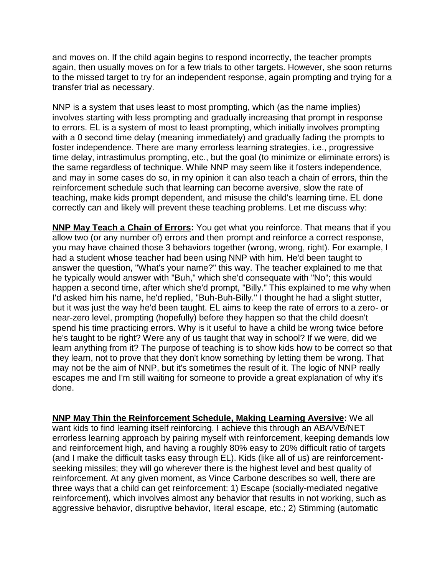and moves on. If the child again begins to respond incorrectly, the teacher prompts again, then usually moves on for a few trials to other targets. However, she soon returns to the missed target to try for an independent response, again prompting and trying for a transfer trial as necessary.

NNP is a system that uses least to most prompting, which (as the name implies) involves starting with less prompting and gradually increasing that prompt in response to errors. EL is a system of most to least prompting, which initially involves prompting with a 0 second time delay (meaning immediately) and gradually fading the prompts to foster independence. There are many errorless learning strategies, i.e., progressive time delay, intrastimulus prompting, etc., but the goal (to minimize or eliminate errors) is the same regardless of technique. While NNP may seem like it fosters independence, and may in some cases do so, in my opinion it can also teach a chain of errors, thin the reinforcement schedule such that learning can become aversive, slow the rate of teaching, make kids prompt dependent, and misuse the child's learning time. EL done correctly can and likely will prevent these teaching problems. Let me discuss why:

**NNP May Teach a Chain of Errors:** You get what you reinforce. That means that if you allow two (or any number of) errors and then prompt and reinforce a correct response, you may have chained those 3 behaviors together (wrong, wrong, right). For example, I had a student whose teacher had been using NNP with him. He'd been taught to answer the question, "What's your name?" this way. The teacher explained to me that he typically would answer with "Buh," which she'd consequate with "No"; this would happen a second time, after which she'd prompt, "Billy." This explained to me why when I'd asked him his name, he'd replied, "Buh-Buh-Billy." I thought he had a slight stutter, but it was just the way he'd been taught. EL aims to keep the rate of errors to a zero- or near-zero level, prompting (hopefully) before they happen so that the child doesn't spend his time practicing errors. Why is it useful to have a child be wrong twice before he's taught to be right? Were any of us taught that way in school? If we were, did we learn anything from it? The purpose of teaching is to show kids how to be correct so that they learn, not to prove that they don't know something by letting them be wrong. That may not be the aim of NNP, but it's sometimes the result of it. The logic of NNP really escapes me and I'm still waiting for someone to provide a great explanation of why it's done.

**NNP May Thin the Reinforcement Schedule, Making Learning Aversive:** We all want kids to find learning itself reinforcing. I achieve this through an ABA/VB/NET errorless learning approach by pairing myself with reinforcement, keeping demands low and reinforcement high, and having a roughly 80% easy to 20% difficult ratio of targets (and I make the difficult tasks easy through EL). Kids (like all of us) are reinforcementseeking missiles; they will go wherever there is the highest level and best quality of reinforcement. At any given moment, as Vince Carbone describes so well, there are three ways that a child can get reinforcement: 1) Escape (socially-mediated negative reinforcement), which involves almost any behavior that results in not working, such as aggressive behavior, disruptive behavior, literal escape, etc.; 2) Stimming (automatic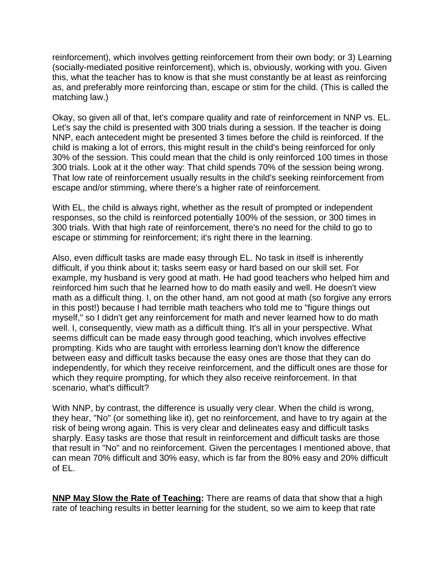reinforcement), which involves getting reinforcement from their own body; or 3) Learning (socially-mediated positive reinforcement), which is, obviously, working with you. Given this, what the teacher has to know is that she must constantly be at least as reinforcing as, and preferably more reinforcing than, escape or stim for the child. (This is called the matching law.)

Okay, so given all of that, let's compare quality and rate of reinforcement in NNP vs. EL. Let's say the child is presented with 300 trials during a session. If the teacher is doing NNP, each antecedent might be presented 3 times before the child is reinforced. If the child is making a lot of errors, this might result in the child's being reinforced for only 30% of the session. This could mean that the child is only reinforced 100 times in those 300 trials. Look at it the other way: That child spends 70% of the session being wrong. That low rate of reinforcement usually results in the child's seeking reinforcement from escape and/or stimming, where there's a higher rate of reinforcement.

With EL, the child is always right, whether as the result of prompted or independent responses, so the child is reinforced potentially 100% of the session, or 300 times in 300 trials. With that high rate of reinforcement, there's no need for the child to go to escape or stimming for reinforcement; it's right there in the learning.

Also, even difficult tasks are made easy through EL. No task in itself is inherently difficult, if you think about it; tasks seem easy or hard based on our skill set. For example, my husband is very good at math. He had good teachers who helped him and reinforced him such that he learned how to do math easily and well. He doesn't view math as a difficult thing. I, on the other hand, am not good at math (so forgive any errors in this post!) because I had terrible math teachers who told me to "figure things out myself," so I didn't get any reinforcement for math and never learned how to do math well. I, consequently, view math as a difficult thing. It's all in your perspective. What seems difficult can be made easy through good teaching, which involves effective prompting. Kids who are taught with errorless learning don't know the difference between easy and difficult tasks because the easy ones are those that they can do independently, for which they receive reinforcement, and the difficult ones are those for which they require prompting, for which they also receive reinforcement. In that scenario, what's difficult?

With NNP, by contrast, the difference is usually very clear. When the child is wrong, they hear, "No" (or something like it), get no reinforcement, and have to try again at the risk of being wrong again. This is very clear and delineates easy and difficult tasks sharply. Easy tasks are those that result in reinforcement and difficult tasks are those that result in "No" and no reinforcement. Given the percentages I mentioned above, that can mean 70% difficult and 30% easy, which is far from the 80% easy and 20% difficult of EL.

**NNP May Slow the Rate of Teaching:** There are reams of data that show that a high rate of teaching results in better learning for the student, so we aim to keep that rate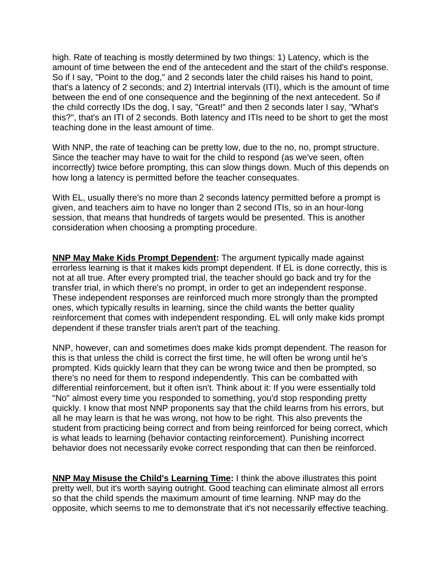high. Rate of teaching is mostly determined by two things: 1) Latency, which is the amount of time between the end of the antecedent and the start of the child's response. So if I say, "Point to the dog," and 2 seconds later the child raises his hand to point, that's a latency of 2 seconds; and 2) Intertrial intervals (ITI), which is the amount of time between the end of one consequence and the beginning of the next antecedent. So if the child correctly IDs the dog, I say, "Great!" and then 2 seconds later I say, "What's this?", that's an ITI of 2 seconds. Both latency and ITIs need to be short to get the most teaching done in the least amount of time.

With NNP, the rate of teaching can be pretty low, due to the no, no, prompt structure. Since the teacher may have to wait for the child to respond (as we've seen, often incorrectly) twice before prompting, this can slow things down. Much of this depends on how long a latency is permitted before the teacher consequates.

With EL, usually there's no more than 2 seconds latency permitted before a prompt is given, and teachers aim to have no longer than 2 second ITIs, so in an hour-long session, that means that hundreds of targets would be presented. This is another consideration when choosing a prompting procedure.

**NNP May Make Kids Prompt Dependent:** The argument typically made against errorless learning is that it makes kids prompt dependent. If EL is done correctly, this is not at all true. After every prompted trial, the teacher should go back and try for the transfer trial, in which there's no prompt, in order to get an independent response. These independent responses are reinforced much more strongly than the prompted ones, which typically results in learning, since the child wants the better quality reinforcement that comes with independent responding. EL will only make kids prompt dependent if these transfer trials aren't part of the teaching.

NNP, however, can and sometimes does make kids prompt dependent. The reason for this is that unless the child is correct the first time, he will often be wrong until he's prompted. Kids quickly learn that they can be wrong twice and then be prompted, so there's no need for them to respond independently. This can be combatted with differential reinforcement, but it often isn't. Think about it: If you were essentially told "No" almost every time you responded to something, you'd stop responding pretty quickly. I know that most NNP proponents say that the child learns from his errors, but all he may learn is that he was wrong, not how to be right. This also prevents the student from practicing being correct and from being reinforced for being correct, which is what leads to learning (behavior contacting reinforcement). Punishing incorrect behavior does not necessarily evoke correct responding that can then be reinforced.

**NNP May Misuse the Child's Learning Time:** I think the above illustrates this point pretty well, but it's worth saying outright. Good teaching can eliminate almost all errors so that the child spends the maximum amount of time learning. NNP may do the opposite, which seems to me to demonstrate that it's not necessarily effective teaching.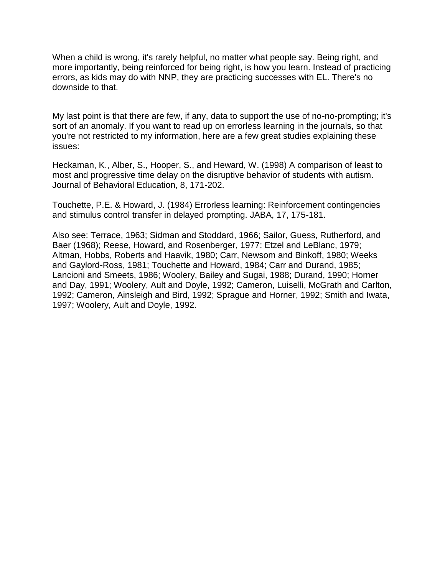When a child is wrong, it's rarely helpful, no matter what people say. Being right, and more importantly, being reinforced for being right, is how you learn. Instead of practicing errors, as kids may do with NNP, they are practicing successes with EL. There's no downside to that.

My last point is that there are few, if any, data to support the use of no-no-prompting; it's sort of an anomaly. If you want to read up on errorless learning in the journals, so that you're not restricted to my information, here are a few great studies explaining these issues:

Heckaman, K., Alber, S., Hooper, S., and Heward, W. (1998) A comparison of least to most and progressive time delay on the disruptive behavior of students with autism. Journal of Behavioral Education, 8, 171-202.

Touchette, P.E. & Howard, J. (1984) Errorless learning: Reinforcement contingencies and stimulus control transfer in delayed prompting. JABA, 17, 175-181.

Also see: Terrace, 1963; Sidman and Stoddard, 1966; Sailor, Guess, Rutherford, and Baer (1968); Reese, Howard, and Rosenberger, 1977; Etzel and LeBlanc, 1979; Altman, Hobbs, Roberts and Haavik, 1980; Carr, Newsom and Binkoff, 1980; Weeks and Gaylord-Ross, 1981; Touchette and Howard, 1984; Carr and Durand, 1985; Lancioni and Smeets, 1986; Woolery, Bailey and Sugai, 1988; Durand, 1990; Horner and Day, 1991; Woolery, Ault and Doyle, 1992; Cameron, Luiselli, McGrath and Carlton, 1992; Cameron, Ainsleigh and Bird, 1992; Sprague and Horner, 1992; Smith and Iwata, 1997; Woolery, Ault and Doyle, 1992.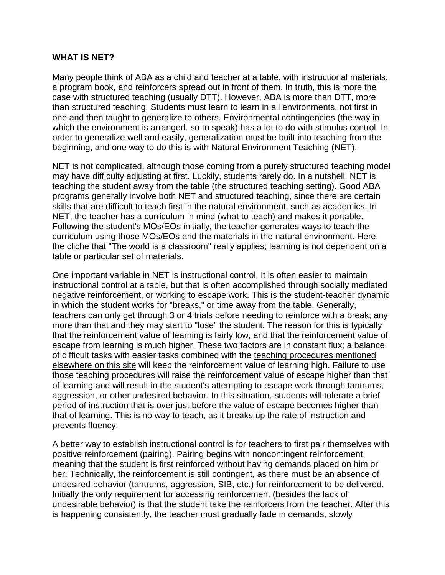#### **WHAT IS NET?**

Many people think of ABA as a child and teacher at a table, with instructional materials, a program book, and reinforcers spread out in front of them. In truth, this is more the case with structured teaching (usually DTT). However, ABA is more than DTT, more than structured teaching. Students must learn to learn in all environments, not first in one and then taught to generalize to others. Environmental contingencies (the way in which the environment is arranged, so to speak) has a lot to do with stimulus control. In order to generalize well and easily, generalization must be built into teaching from the beginning, and one way to do this is with Natural Environment Teaching (NET).

NET is not complicated, although those coming from a purely structured teaching model may have difficulty adjusting at first. Luckily, students rarely do. In a nutshell, NET is teaching the student away from the table (the structured teaching setting). Good ABA programs generally involve both NET and structured teaching, since there are certain skills that are difficult to teach first in the natural environment, such as academics. In NET, the teacher has a curriculum in mind (what to teach) and makes it portable. Following the student's MOs/EOs initially, the teacher generates ways to teach the curriculum using those MOs/EOs and the materials in the natural environment. Here, the cliche that "The world is a classroom" really applies; learning is not dependent on a table or particular set of materials.

One important variable in NET is instructional control. It is often easier to maintain instructional control at a table, but that is often accomplished through socially mediated negative reinforcement, or working to escape work. This is the student-teacher dynamic in which the student works for "breaks," or time away from the table. Generally, teachers can only get through 3 or 4 trials before needing to reinforce with a break; any more than that and they may start to "lose" the student. The reason for this is typically that the reinforcement value of learning is fairly low, and that the reinforcement value of escape from learning is much higher. These two factors are in constant flux; a balance of difficult tasks with easier tasks combined with the [teaching procedures mentioned](http://www.christinaburkaba.com/Procedures.htm)  [elsewhere on this site](http://www.christinaburkaba.com/Procedures.htm) will keep the reinforcement value of learning high. Failure to use those teaching procedures will raise the reinforcement value of escape higher than that of learning and will result in the student's attempting to escape work through tantrums, aggression, or other undesired behavior. In this situation, students will tolerate a brief period of instruction that is over just before the value of escape becomes higher than that of learning. This is no way to teach, as it breaks up the rate of instruction and prevents fluency.

A better way to establish instructional control is for teachers to first pair themselves with positive reinforcement (pairing). Pairing begins with noncontingent reinforcement, meaning that the student is first reinforced without having demands placed on him or her. Technically, the reinforcement is still contingent, as there must be an absence of undesired behavior (tantrums, aggression, SIB, etc.) for reinforcement to be delivered. Initially the only requirement for accessing reinforcement (besides the lack of undesirable behavior) is that the student take the reinforcers from the teacher. After this is happening consistently, the teacher must gradually fade in demands, slowly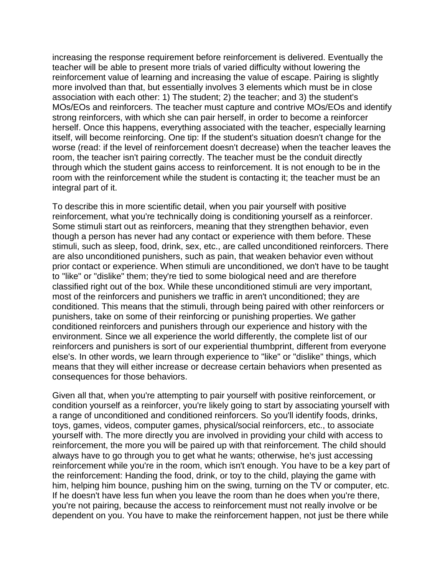increasing the response requirement before reinforcement is delivered. Eventually the teacher will be able to present more trials of varied difficulty without lowering the reinforcement value of learning and increasing the value of escape. Pairing is slightly more involved than that, but essentially involves 3 elements which must be in close association with each other: 1) The student; 2) the teacher; and 3) the student's MOs/EOs and reinforcers. The teacher must capture and contrive MOs/EOs and identify strong reinforcers, with which she can pair herself, in order to become a reinforcer herself. Once this happens, everything associated with the teacher, especially learning itself, will become reinforcing. One tip: If the student's situation doesn't change for the worse (read: if the level of reinforcement doesn't decrease) when the teacher leaves the room, the teacher isn't pairing correctly. The teacher must be the conduit directly through which the student gains access to reinforcement. It is not enough to be in the room with the reinforcement while the student is contacting it; the teacher must be an integral part of it.

To describe this in more scientific detail, when you pair yourself with positive reinforcement, what you're technically doing is conditioning yourself as a reinforcer. Some stimuli start out as reinforcers, meaning that they strengthen behavior, even though a person has never had any contact or experience with them before. These stimuli, such as sleep, food, drink, sex, etc., are called unconditioned reinforcers. There are also unconditioned punishers, such as pain, that weaken behavior even without prior contact or experience. When stimuli are unconditioned, we don't have to be taught to "like" or "dislike" them; they're tied to some biological need and are therefore classified right out of the box. While these unconditioned stimuli are very important, most of the reinforcers and punishers we traffic in aren't unconditioned; they are conditioned. This means that the stimuli, through being paired with other reinforcers or punishers, take on some of their reinforcing or punishing properties. We gather conditioned reinforcers and punishers through our experience and history with the environment. Since we all experience the world differently, the complete list of our reinforcers and punishers is sort of our experiential thumbprint, different from everyone else's. In other words, we learn through experience to "like" or "dislike" things, which means that they will either increase or decrease certain behaviors when presented as consequences for those behaviors.

Given all that, when you're attempting to pair yourself with positive reinforcement, or condition yourself as a reinforcer, you're likely going to start by associating yourself with a range of unconditioned and conditioned reinforcers. So you'll identify foods, drinks, toys, games, videos, computer games, physical/social reinforcers, etc., to associate yourself with. The more directly you are involved in providing your child with access to reinforcement, the more you will be paired up with that reinforcement. The child should always have to go through you to get what he wants; otherwise, he's just accessing reinforcement while you're in the room, which isn't enough. You have to be a key part of the reinforcement: Handing the food, drink, or toy to the child, playing the game with him, helping him bounce, pushing him on the swing, turning on the TV or computer, etc. If he doesn't have less fun when you leave the room than he does when you're there, you're not pairing, because the access to reinforcement must not really involve or be dependent on you. You have to make the reinforcement happen, not just be there while